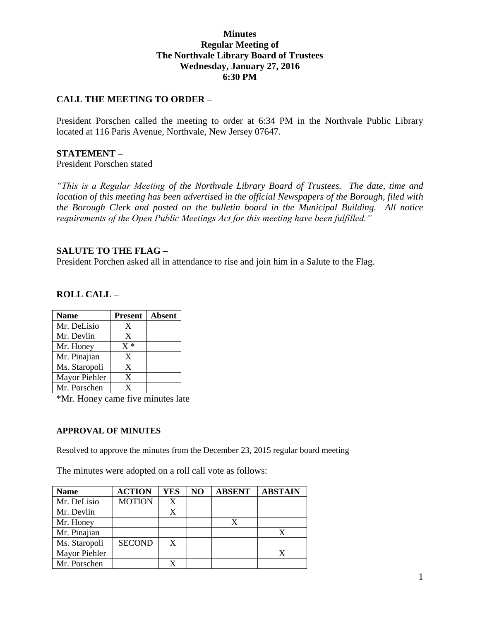## **Minutes Regular Meeting of The Northvale Library Board of Trustees Wednesday, January 27, 2016 6:30 PM**

## **CALL THE MEETING TO ORDER –**

President Porschen called the meeting to order at 6:34 PM in the Northvale Public Library located at 116 Paris Avenue, Northvale, New Jersey 07647.

#### **STATEMENT –**

President Porschen stated

*"This is a Regular Meeting of the Northvale Library Board of Trustees. The date, time and location of this meeting has been advertised in the official Newspapers of the Borough, filed with the Borough Clerk and posted on the bulletin board in the Municipal Building. All notice requirements of the Open Public Meetings Act for this meeting have been fulfilled."* 

#### **SALUTE TO THE FLAG –**

President Porchen asked all in attendance to rise and join him in a Salute to the Flag.

#### **ROLL CALL –**

| <b>Name</b>   | <b>Present</b> | <b>Absent</b> |
|---------------|----------------|---------------|
| Mr. DeLisio   | X              |               |
| Mr. Devlin    | X              |               |
| Mr. Honey     | $X^*$          |               |
| Mr. Pinajian  | X              |               |
| Ms. Staropoli | X              |               |
| Mayor Piehler | X              |               |
| Mr. Porschen  | X              |               |

\*Mr. Honey came five minutes late

#### **APPROVAL OF MINUTES**

Resolved to approve the minutes from the December 23, 2015 regular board meeting

The minutes were adopted on a roll call vote as follows:

| <b>Name</b>   | <b>ACTION</b> | YES | NO | <b>ABSENT</b> | <b>ABSTAIN</b> |
|---------------|---------------|-----|----|---------------|----------------|
| Mr. DeLisio   | <b>MOTION</b> | X   |    |               |                |
| Mr. Devlin    |               |     |    |               |                |
| Mr. Honey     |               |     |    |               |                |
| Mr. Pinajian  |               |     |    |               |                |
| Ms. Staropoli | <b>SECOND</b> | X   |    |               |                |
| Mayor Piehler |               |     |    |               |                |
| Mr. Porschen  |               |     |    |               |                |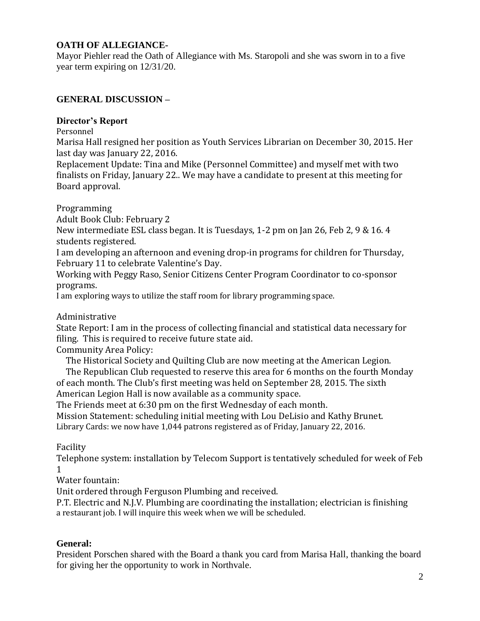# **OATH OF ALLEGIANCE-**

Mayor Piehler read the Oath of Allegiance with Ms. Staropoli and she was sworn in to a five year term expiring on 12/31/20.

# **GENERAL DISCUSSION –**

## **Director's Report**

Personnel

Marisa Hall resigned her position as Youth Services Librarian on December 30, 2015. Her last day was January 22, 2016.

Replacement Update: Tina and Mike (Personnel Committee) and myself met with two finalists on Friday, January 22.. We may have a candidate to present at this meeting for Board approval.

Programming

Adult Book Club: February 2

New intermediate ESL class began. It is Tuesdays, 1-2 pm on Jan 26, Feb 2, 9 & 16. 4 students registered.

I am developing an afternoon and evening drop-in programs for children for Thursday, February 11 to celebrate Valentine's Day.

Working with Peggy Raso, Senior Citizens Center Program Coordinator to co-sponsor programs.

I am exploring ways to utilize the staff room for library programming space.

Administrative

State Report: I am in the process of collecting financial and statistical data necessary for filing. This is required to receive future state aid.

Community Area Policy:

The Historical Society and Quilting Club are now meeting at the American Legion.

 The Republican Club requested to reserve this area for 6 months on the fourth Monday of each month. The Club's first meeting was held on September 28, 2015. The sixth

American Legion Hall is now available as a community space.

The Friends meet at 6:30 pm on the first Wednesday of each month.

Mission Statement: scheduling initial meeting with Lou DeLisio and Kathy Brunet. Library Cards: we now have 1,044 patrons registered as of Friday, January 22, 2016.

Facility

Telephone system: installation by Telecom Support is tentatively scheduled for week of Feb 1

Water fountain:

Unit ordered through Ferguson Plumbing and received.

P.T. Electric and N.J.V. Plumbing are coordinating the installation; electrician is finishing a restaurant job. I will inquire this week when we will be scheduled.

## **General:**

President Porschen shared with the Board a thank you card from Marisa Hall, thanking the board for giving her the opportunity to work in Northvale.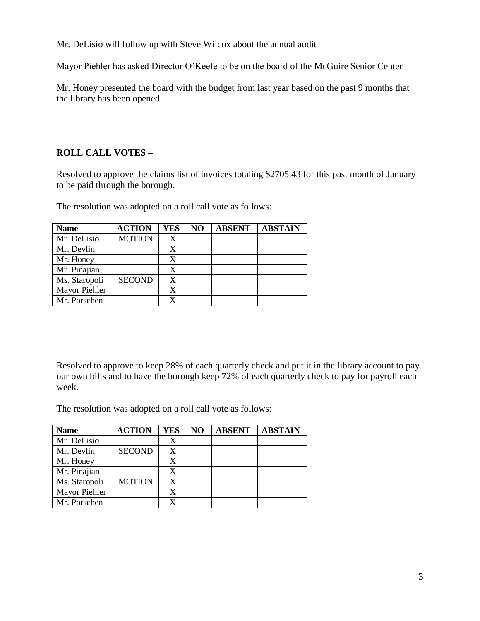Mr. DeLisio will follow up with Steve Wilcox about the annual audit

Mayor Piehler has asked Director O'Keefe to be on the board of the McGuire Senior Center

Mr. Honey presented the board with the budget from last year based on the past 9 months that the library has been opened.

# **ROLL CALL VOTES –**

Resolved to approve the claims list of invoices totaling \$2705.43 for this past month of January to be paid through the borough.

The resolution was adopted on a roll call vote as follows:

| <b>Name</b>   | <b>ACTION</b> | <b>YES</b> | NO | <b>ABSENT</b> | <b>ABSTAIN</b> |
|---------------|---------------|------------|----|---------------|----------------|
| Mr. DeLisio   | <b>MOTION</b> | X          |    |               |                |
| Mr. Devlin    |               | X          |    |               |                |
| Mr. Honey     |               | X          |    |               |                |
| Mr. Pinajian  |               | X          |    |               |                |
| Ms. Staropoli | <b>SECOND</b> | X          |    |               |                |
| Mayor Piehler |               | X          |    |               |                |
| Mr. Porschen  |               |            |    |               |                |

Resolved to approve to keep 28% of each quarterly check and put it in the library account to pay our own bills and to have the borough keep 72% of each quarterly check to pay for payroll each week.

The resolution was adopted on a roll call vote as follows:

| <b>Name</b>   | <b>ACTION</b> | <b>YES</b> | NO | <b>ABSENT</b> | <b>ABSTAIN</b> |
|---------------|---------------|------------|----|---------------|----------------|
| Mr. DeLisio   |               | X          |    |               |                |
| Mr. Devlin    | <b>SECOND</b> | X          |    |               |                |
| Mr. Honey     |               | X          |    |               |                |
| Mr. Pinajian  |               | X          |    |               |                |
| Ms. Staropoli | <b>MOTION</b> | X          |    |               |                |
| Mayor Piehler |               |            |    |               |                |
| Mr. Porschen  |               |            |    |               |                |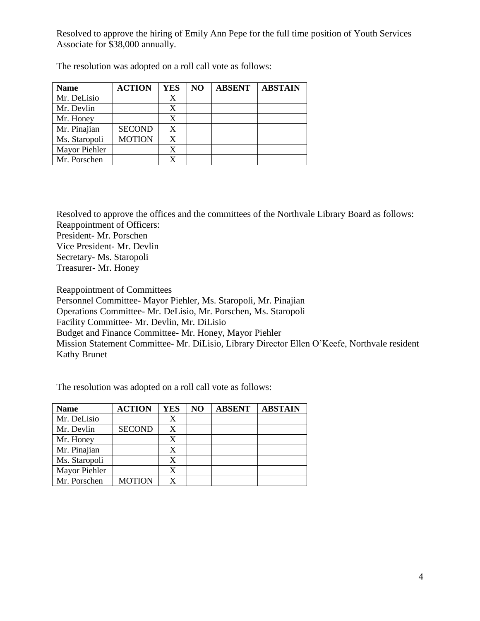Resolved to approve the hiring of Emily Ann Pepe for the full time position of Youth Services Associate for \$38,000 annually.

| <b>Name</b>   | <b>ACTION</b> | <b>YES</b> | NO | <b>ABSENT</b> | <b>ABSTAIN</b> |
|---------------|---------------|------------|----|---------------|----------------|
| Mr. DeLisio   |               |            |    |               |                |
| Mr. Devlin    |               |            |    |               |                |
| Mr. Honey     |               | X          |    |               |                |
| Mr. Pinajian  | <b>SECOND</b> | X          |    |               |                |
| Ms. Staropoli | <b>MOTION</b> | X          |    |               |                |
| Mayor Piehler |               |            |    |               |                |
| Mr. Porschen  |               |            |    |               |                |

The resolution was adopted on a roll call vote as follows:

Resolved to approve the offices and the committees of the Northvale Library Board as follows: Reappointment of Officers: President- Mr. Porschen Vice President- Mr. Devlin Secretary- Ms. Staropoli Treasurer- Mr. Honey

Reappointment of Committees

Personnel Committee- Mayor Piehler, Ms. Staropoli, Mr. Pinajian

Operations Committee- Mr. DeLisio, Mr. Porschen, Ms. Staropoli

Facility Committee- Mr. Devlin, Mr. DiLisio

Budget and Finance Committee- Mr. Honey, Mayor Piehler

Mission Statement Committee- Mr. DiLisio, Library Director Ellen O'Keefe, Northvale resident Kathy Brunet

The resolution was adopted on a roll call vote as follows:

| <b>Name</b>   | <b>ACTION</b> | <b>YES</b> | NO | <b>ABSENT</b> | <b>ABSTAIN</b> |
|---------------|---------------|------------|----|---------------|----------------|
| Mr. DeLisio   |               | X          |    |               |                |
| Mr. Devlin    | <b>SECOND</b> | X          |    |               |                |
| Mr. Honey     |               | X          |    |               |                |
| Mr. Pinajian  |               | X          |    |               |                |
| Ms. Staropoli |               | X          |    |               |                |
| Mayor Piehler |               | X          |    |               |                |
| Mr. Porschen  | <b>MOTION</b> | x          |    |               |                |